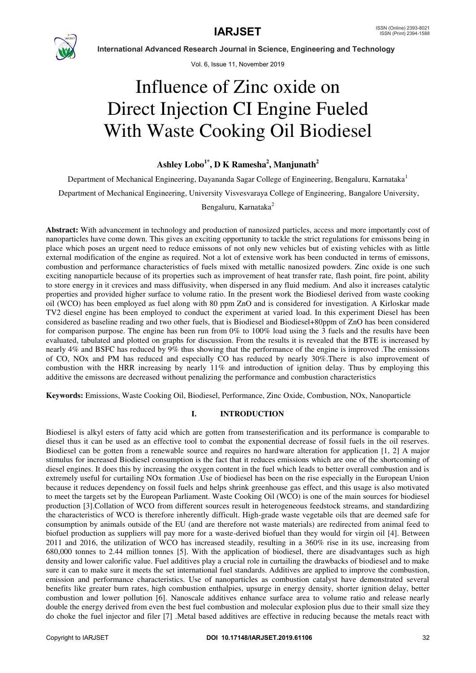

Vol. 6, Issue 11, November 2019

# Influence of Zinc oxide on Direct Injection CI Engine Fueled With Waste Cooking Oil Biodiesel

# **Ashley Lobo1\*, D K Ramesha<sup>2</sup> , Manjunath<sup>2</sup>**

Department of Mechanical Engineering, Dayananda Sagar College of Engineering, Bengaluru, Karnataka<sup>1</sup>

Department of Mechanical Engineering, University Visvesvaraya College of Engineering, Bangalore University,

Bengaluru, Karnataka<sup>2</sup>

**Abstract:** With advancement in technology and production of nanosized particles, access and more importantly cost of nanoparticles have come down. This gives an exciting opportunity to tackle the strict regulations for emissons being in place which poses an urgent need to reduce emissons of not only new vehicles but of existing vehicles with as little external modification of the engine as required. Not a lot of extensive work has been conducted in terms of emissons, combustion and performance characteristics of fuels mixed with metallic nanosized powders. Zinc oxide is one such exciting nanoparticle because of its properties such as improvement of heat transfer rate, flash point, fire point, ability to store energy in it crevices and mass diffusivity, when dispersed in any fluid medium. And also it increases catalytic properties and provided higher surface to volume ratio. In the present work the Biodiesel derived from waste cooking oil (WCO) has been employed as fuel along with 80 ppm ZnO and is considered for investigation. A Kirloskar made TV2 diesel engine has been employed to conduct the experiment at varied load. In this experiment Diesel has been considered as baseline reading and two other fuels, that is Biodiesel and Biodiesel+80ppm of ZnO has been considered for comparison purpose. The engine has been run from 0% to 100% load using the 3 fuels and the results have been evaluated, tabulated and plotted on graphs for discussion. From the results it is revealed that the BTE is increased by nearly 4% and BSFC has reduced by 9% thus showing that the performance of the engine is improved .The emissions of CO, NOx and PM has reduced and especially CO has reduced by nearly 30%.There is also improvement of combustion with the HRR increasing by nearly 11% and introduction of ignition delay. Thus by employing this additive the emissons are decreased without penalizing the performance and combustion characteristics

**Keywords:** Emissions, Waste Cooking Oil, Biodiesel, Performance, Zinc Oxide, Combustion, NOx, Nanoparticle

# **I. INTRODUCTION**

Biodiesel is alkyl esters of fatty acid which are gotten from transesterification and its performance is comparable to diesel thus it can be used as an effective tool to combat the exponential decrease of fossil fuels in the oil reserves. Biodiesel can be gotten from a renewable source and requires no hardware alteration for application [1, 2] A major stimulus for increased Biodiesel consumption is the fact that it reduces emissions which are one of the shortcoming of diesel engines. It does this by increasing the oxygen content in the fuel which leads to better overall combustion and is extremely useful for curtailing NOx formation .Use of biodiesel has been on the rise especially in the European Union because it reduces dependency on fossil fuels and helps shrink greenhouse gas effect, and this usage is also motivated to meet the targets set by the European Parliament. Waste Cooking Oil (WCO) is one of the main sources for biodiesel production [3].Collation of WCO from different sources result in heterogeneous feedstock streams, and standardizing the characteristics of WCO is therefore inherently difficult. High-grade waste vegetable oils that are deemed safe for consumption by animals outside of the EU (and are therefore not waste materials) are redirected from animal feed to biofuel production as suppliers will pay more for a waste-derived biofuel than they would for virgin oil [4]. Between 2011 and 2016, the utilization of WCO has increased steadily, resulting in a 360% rise in its use, increasing from 680,000 tonnes to 2.44 million tonnes [5]. With the application of biodiesel, there are disadvantages such as high density and lower calorific value. Fuel additives play a crucial role in curtailing the drawbacks of biodiesel and to make sure it can to make sure it meets the set international fuel standards. Additives are applied to improve the combustion, emission and performance characteristics. Use of nanoparticles as combustion catalyst have demonstrated several benefits like greater burn rates, high combustion enthalpies, upsurge in energy density, shorter ignition delay, better combustion and lower pollution [6]. Nanoscale additives enhance surface area to volume ratio and release nearly double the energy derived from even the best fuel combustion and molecular explosion plus due to their small size they do choke the fuel injector and filer [7] .Metal based additives are effective in reducing because the metals react with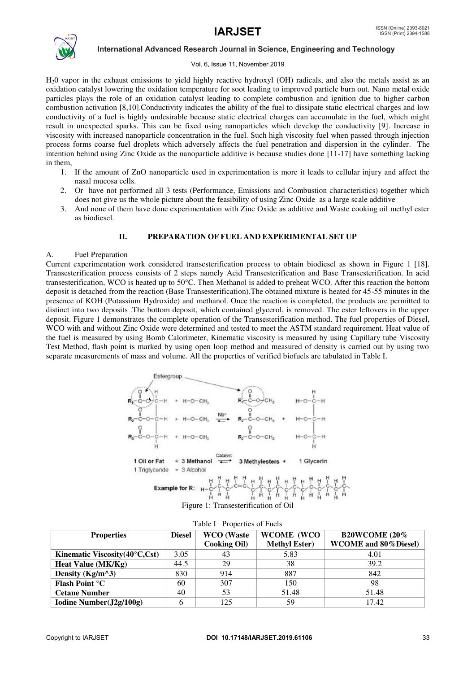

# Vol. 6, Issue 11, November 2019

H20 vapor in the exhaust emissions to yield highly reactive hydroxyl (OH) radicals, and also the metals assist as an oxidation catalyst lowering the oxidation temperature for soot leading to improved particle burn out. Nano metal oxide particles plays the role of an oxidation catalyst leading to complete combustion and ignition due to higher carbon combustion activation [8,10].Conductivity indicates the ability of the fuel to dissipate static electrical charges and low conductivity of a fuel is highly undesirable because static electrical charges can accumulate in the fuel, which might result in unexpected sparks. This can be fixed using nanoparticles which develop the conductivity [9]. Increase in viscosity with increased nanoparticle concentration in the fuel. Such high viscosity fuel when passed through injection process forms coarse fuel droplets which adversely affects the fuel penetration and dispersion in the cylinder. The intention behind using Zinc Oxide as the nanoparticle additive is because studies done [11-17] have something lacking in them,

- 1. If the amount of ZnO nanoparticle used in experimentation is more it leads to cellular injury and affect the nasal mucosa cells.
- 2. Or have not performed all 3 tests (Performance, Emissions and Combustion characteristics) together which does not give us the whole picture about the feasibility of using Zinc Oxide as a large scale additive
- 3. And none of them have done experimentation with Zinc Oxide as additive and Waste cooking oil methyl ester as biodiesel.

# **II. PREPARATION OF FUEL AND EXPERIMENTAL SET UP**

# A. Fuel Preparation

Current experimentation work considered transesterification process to obtain biodiesel as shown in Figure 1 [18]. Transesterification process consists of 2 steps namely Acid Transesterification and Base Transesterification. In acid transesterification, WCO is heated up to  $50^{\circ}$ C. Then Methanol is added to preheat WCO. After this reaction the bottom deposit is detached from the reaction (Base Transesterification).The obtained mixture is heated for 45-55 minutes in the presence of KOH (Potassium Hydroxide) and methanol. Once the reaction is completed, the products are permitted to distinct into two deposits .The bottom deposit, which contained glycerol, is removed. The ester leftovers in the upper deposit. Figure 1 demonstrates the complete operation of the Transesterification method. The fuel properties of Diesel, WCO with and without Zinc Oxide were determined and tested to meet the ASTM standard requirement. Heat value of the fuel is measured by using Bomb Calorimeter, Kinematic viscosity is measured by using Capillary tube Viscosity Test Method, flash point is marked by using open loop method and measured of density is carried out by using two separate measurements of mass and volume. All the properties of verified biofuels are tabulated in Table I.



Figure 1: Transesterification of Oil

| <b>B20WCOME (20%)</b><br><b>WCOME</b> (WCO<br><b>WCO</b> (Waste<br><b>Diesel</b><br><b>Properties</b> |      |                     |                      |                              |  |
|-------------------------------------------------------------------------------------------------------|------|---------------------|----------------------|------------------------------|--|
|                                                                                                       |      | <b>Cooking Oil)</b> | <b>Methyl Ester)</b> | <b>WCOME</b> and 80% Diesel) |  |
| Kinematic Viscosity $(40^{\circ}C, Cst)$                                                              | 3.05 | 43                  | 5.83                 | 4.01                         |  |
| <b>Heat Value (MK/Kg)</b>                                                                             | 44.5 | 29                  | 38                   | 39.2                         |  |
| Density ( $Kg/m^3$ )                                                                                  | 830  | 914                 | 887                  | 842                          |  |
| Flash Point °C                                                                                        | 60   | 307                 | 150                  | 98                           |  |
| <b>Cetane Number</b>                                                                                  | 40   | 53                  | 51.48                | 51.48                        |  |
| Iodine Number(J2g/100g)                                                                               |      | 125                 | 59                   | 17.42                        |  |

Table I Properties of Fuels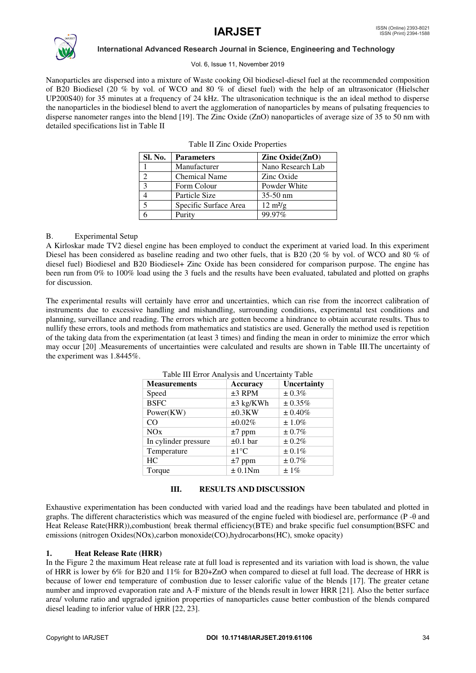

### Vol. 6, Issue 11, November 2019

Nanoparticles are dispersed into a mixture of Waste cooking Oil biodiesel-diesel fuel at the recommended composition of B20 Biodiesel (20 % by vol. of WCO and 80 % of diesel fuel) with the help of an ultrasonicator (Hielscher UP200S40) for 35 minutes at a frequency of 24 kHz. The ultrasonication technique is the an ideal method to disperse the nanoparticles in the biodiesel blend to avert the agglomeration of nanoparticles by means of pulsating frequencies to disperse nanometer ranges into the blend [19]. The Zinc Oxide (ZnO) nanoparticles of average size of 35 to 50 nm with detailed specifications list in Table II

| Sl. No.       | <b>Parameters</b>     | Zinc $Oxide(ZnO)$         |
|---------------|-----------------------|---------------------------|
|               | Manufacturer          | Nano Research Lab         |
|               | <b>Chemical Name</b>  | Zinc Oxide                |
| $\mathcal{R}$ | Form Colour           | Powder White              |
|               | Particle Size         | $35-50$ nm                |
|               | Specific Surface Area | $12 \text{ m}^2\text{/g}$ |
|               | Purity                | 99.97%                    |

Table II Zinc Oxide Properties

### B. Experimental Setup

A Kirloskar made TV2 diesel engine has been employed to conduct the experiment at varied load. In this experiment Diesel has been considered as baseline reading and two other fuels, that is B20 (20 % by vol. of WCO and 80 % of diesel fuel) Biodiesel and B20 Biodiesel+ Zinc Oxide has been considered for comparison purpose. The engine has been run from 0% to 100% load using the 3 fuels and the results have been evaluated, tabulated and plotted on graphs for discussion.

The experimental results will certainly have error and uncertainties, which can rise from the incorrect calibration of instruments due to excessive handling and mishandling, surrounding conditions, experimental test conditions and planning, surveillance and reading. The errors which are gotten become a hindrance to obtain accurate results. Thus to nullify these errors, tools and methods from mathematics and statistics are used. Generally the method used is repetition of the taking data from the experimentation (at least 3 times) and finding the mean in order to minimize the error which may occur [20] .Measurements of uncertainties were calculated and results are shown in Table III.The uncertainty of the experiment was 1.8445%.

| racio in Enformations and Cheeranity racio |                        |             |  |  |
|--------------------------------------------|------------------------|-------------|--|--|
| <b>Measurements</b>                        | <b>Accuracy</b>        | Uncertainty |  |  |
| Speed                                      | $±3$ RPM               | $\pm 0.3\%$ |  |  |
| <b>BSFC</b>                                | $\pm 3$ kg/KWh         | ± 0.35%     |  |  |
| Power(KW)                                  | $\pm 0.3$ KW           | $± 0.40\%$  |  |  |
| CO                                         | ±0.02%                 | $\pm 1.0\%$ |  |  |
| NOx                                        | $\pm 7$ ppm            | ± 0.7%      |  |  |
| In cylinder pressure                       | $\pm 0.1$ bar          | ± 0.2%      |  |  |
| Temperature                                | $\pm 1$ <sup>o</sup> C | ± 0.1%      |  |  |
| HC.                                        | $\pm 7$ ppm            | ± 0.7%      |  |  |
| Torque                                     | ± 0.1Nm                | $\pm 1\%$   |  |  |
|                                            |                        |             |  |  |

# Table III Error Analysis and Uncertainty Table

### **III. RESULTS AND DISCUSSION**

Exhaustive experimentation has been conducted with varied load and the readings have been tabulated and plotted in graphs. The different characteristics which was measured of the engine fueled with biodiesel are, performance (P -θ and Heat Release Rate(HRR)),combustion( break thermal efficiency(BTE) and brake specific fuel consumption(BSFC and emissions (nitrogen Oxides(NOx),carbon monoxide(CO),hydrocarbons(HC), smoke opacity)

# **1. Heat Release Rate (HRR)**

In the Figure 2 the maximum Heat release rate at full load is represented and its variation with load is shown, the value of HRR is lower by 6% for B20 and 11% for B20+ZnO when compared to diesel at full load. The decrease of HRR is because of lower end temperature of combustion due to lesser calorific value of the blends [17]. The greater cetane number and improved evaporation rate and A-F mixture of the blends result in lower HRR [21]. Also the better surface area/ volume ratio and upgraded ignition properties of nanoparticles cause better combustion of the blends compared diesel leading to inferior value of HRR [22, 23].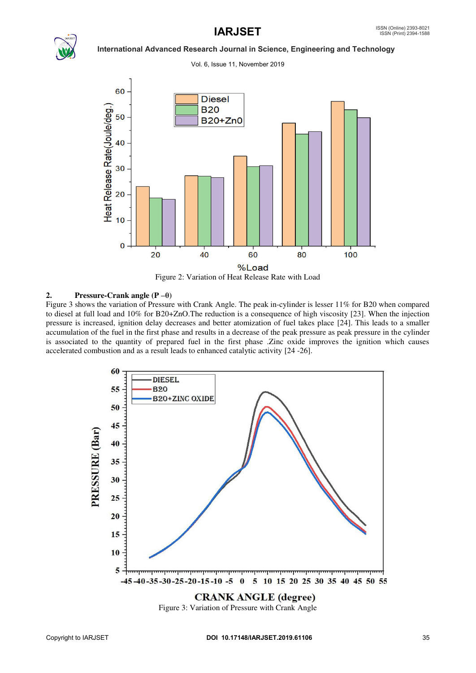

Vol. 6, Issue 11, November 2019



Figure 2: Variation of Heat Release Rate with Load

# **2. Pressure-Crank angle (P –θ)**

Figure 3 shows the variation of Pressure with Crank Angle. The peak in-cylinder is lesser 11% for B20 when compared to diesel at full load and 10% for B20+ZnO.The reduction is a consequence of high viscosity [23]. When the injection pressure is increased, ignition delay decreases and better atomization of fuel takes place [24]. This leads to a smaller accumulation of the fuel in the first phase and results in a decrease of the peak pressure as peak pressure in the cylinder is associated to the quantity of prepared fuel in the first phase .Zinc oxide improves the ignition which causes accelerated combustion and as a result leads to enhanced catalytic activity [24 -26].



Figure 3: Variation of Pressure with Crank Angle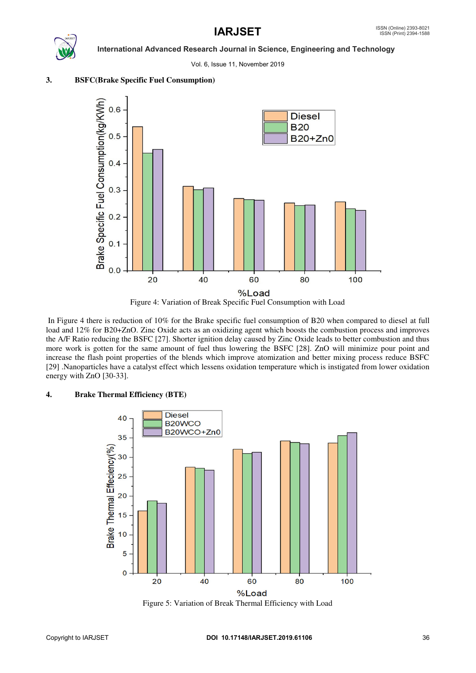Vol. 6, Issue 11, November 2019



 In Figure 4 there is reduction of 10% for the Brake specific fuel consumption of B20 when compared to diesel at full load and 12% for B20+ZnO. Zinc Oxide acts as an oxidizing agent which boosts the combustion process and improves the A/F Ratio reducing the BSFC [27]. Shorter ignition delay caused by Zinc Oxide leads to better combustion and thus more work is gotten for the same amount of fuel thus lowering the BSFC [28]. ZnO will minimize pour point and increase the flash point properties of the blends which improve atomization and better mixing process reduce BSFC [29] .Nanoparticles have a catalyst effect which lessens oxidation temperature which is instigated from lower oxidation energy with ZnO [30-33].

# **4. Brake Thermal Efficiency (BTE)**



Figure 5: Variation of Break Thermal Efficiency with Load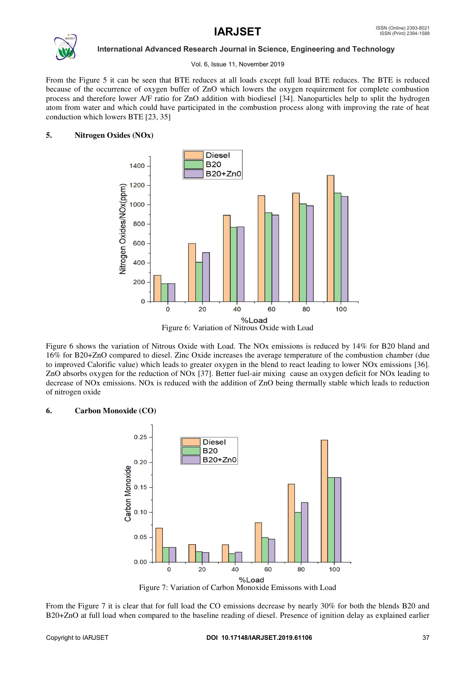

## Vol. 6, Issue 11, November 2019

From the Figure 5 it can be seen that BTE reduces at all loads except full load BTE reduces. The BTE is reduced because of the occurrence of oxygen buffer of ZnO which lowers the oxygen requirement for complete combustion process and therefore lower A/F ratio for ZnO addition with biodiesel [34]. Nanoparticles help to split the hydrogen atom from water and which could have participated in the combustion process along with improving the rate of heat conduction which lowers BTE [23, 35]

# **5. Nitrogen Oxides (NOx)**



Figure 6 shows the variation of Nitrous Oxide with Load. The NOx emissions is reduced by 14% for B20 bland and 16% for B20+ZnO compared to diesel. Zinc Oxide increases the average temperature of the combustion chamber (due to improved Calorific value) which leads to greater oxygen in the blend to react leading to lower NOx emissions [36]. ZnO absorbs oxygen for the reduction of NOx [37]. Better fuel-air mixing cause an oxygen deficit for NOx leading to decrease of NOx emissions. NOx is reduced with the addition of ZnO being thermally stable which leads to reduction of nitrogen oxide

# **6. Carbon Monoxide (CO)**



Figure 7: Variation of Carbon Monoxide Emissons with Load

From the Figure 7 it is clear that for full load the CO emissions decrease by nearly 30% for both the blends B20 and B20+ZnO at full load when compared to the baseline reading of diesel. Presence of ignition delay as explained earlier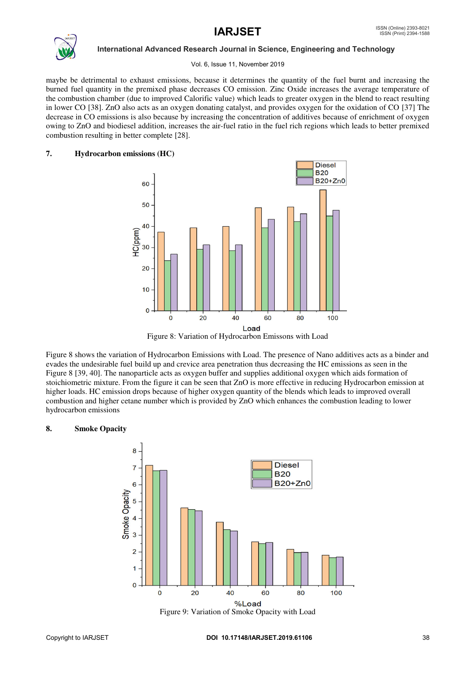

### Vol. 6, Issue 11, November 2019

maybe be detrimental to exhaust emissions, because it determines the quantity of the fuel burnt and increasing the burned fuel quantity in the premixed phase decreases CO emission. Zinc Oxide increases the average temperature of the combustion chamber (due to improved Calorific value) which leads to greater oxygen in the blend to react resulting in lower CO [38]. ZnO also acts as an oxygen donating catalyst, and provides oxygen for the oxidation of CO [37] The decrease in CO emissions is also because by increasing the concentration of additives because of enrichment of oxygen owing to ZnO and biodiesel addition, increases the air-fuel ratio in the fuel rich regions which leads to better premixed combustion resulting in better complete [28].

# **7. Hydrocarbon emissions (HC)**



Figure 8: Variation of Hydrocarbon Emissons with Load

Figure 8 shows the variation of Hydrocarbon Emissions with Load. The presence of Nano additives acts as a binder and evades the undesirable fuel build up and crevice area penetration thus decreasing the HC emissions as seen in the Figure 8 [39, 40]. The nanoparticle acts as oxygen buffer and supplies additional oxygen which aids formation of stoichiometric mixture. From the figure it can be seen that ZnO is more effective in reducing Hydrocarbon emission at higher loads. HC emission drops because of higher oxygen quantity of the blends which leads to improved overall combustion and higher cetane number which is provided by ZnO which enhances the combustion leading to lower hydrocarbon emissions

# **8. Smoke Opacity**

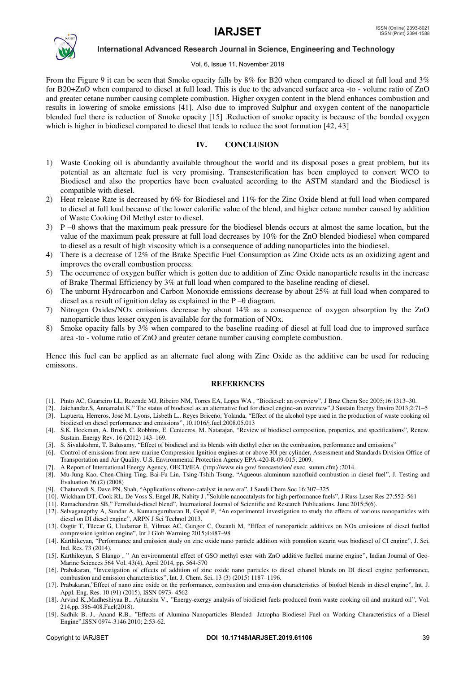

### Vol. 6, Issue 11, November 2019

From the Figure 9 it can be seen that Smoke opacity falls by 8% for B20 when compared to diesel at full load and 3% for B20+ZnO when compared to diesel at full load. This is due to the advanced surface area -to - volume ratio of ZnO and greater cetane number causing complete combustion. Higher oxygen content in the blend enhances combustion and results in lowering of smoke emissions [41]. Also due to improved Sulphur and oxygen content of the nanoparticle blended fuel there is reduction of Smoke opacity [15] .Reduction of smoke opacity is because of the bonded oxygen which is higher in biodiesel compared to diesel that tends to reduce the soot formation [42, 43]

# **IV. CONCLUSION**

- 1) Waste Cooking oil is abundantly available throughout the world and its disposal poses a great problem, but its potential as an alternate fuel is very promising. Transesterification has been employed to convert WCO to Biodiesel and also the properties have been evaluated according to the ASTM standard and the Biodiesel is compatible with diesel.
- 2) Heat release Rate is decreased by 6% for Biodiesel and 11% for the Zinc Oxide blend at full load when compared to diesel at full load because of the lower calorific value of the blend, and higher cetane number caused by addition of Waste Cooking Oil Methyl ester to diesel.
- $3)$  P – $\theta$  shows that the maximum peak pressure for the biodiesel blends occurs at almost the same location, but the value of the maximum peak pressure at full load decreases by 10% for the ZnO blended biodiesel when compared to diesel as a result of high viscosity which is a consequence of adding nanoparticles into the biodiesel.
- 4) There is a decrease of 12% of the Brake Specific Fuel Consumption as Zinc Oxide acts as an oxidizing agent and improves the overall combustion process.
- 5) The occurrence of oxygen buffer which is gotten due to addition of Zinc Oxide nanoparticle results in the increase of Brake Thermal Efficiency by 3% at full load when compared to the baseline reading of diesel.
- 6) The unburnt Hydrocarbon and Carbon Monoxide emissions decrease by about 25% at full load when compared to diesel as a result of ignition delay as explained in the  $P - \theta$  diagram.
- 7) Nitrogen Oxides/NOx emissions decrease by about 14% as a consequence of oxygen absorption by the ZnO nanoparticle thus lesser oxygen is available for the formation of NOx.
- 8) Smoke opacity falls by 3% when compared to the baseline reading of diesel at full load due to improved surface area -to - volume ratio of ZnO and greater cetane number causing complete combustion.

Hence this fuel can be applied as an alternate fuel along with Zinc Oxide as the additive can be used for reducing emissons.

### **REFERENCES**

- [1]. Pinto AC, Guarieiro LL, Rezende MJ, Ribeiro NM, Torres EA, Lopes WA , "Biodiesel: an overview", J Braz Chem Soc 2005;16:1313–30.
- [2]. Jaichandar.S, Annamalai.K," The status of biodiesel as an alternative fuel for diesel engine–an overview",J Sustain Energy Enviro 2013;2:71–5 [3]. Lapuerta, Herreros, José M. Lyons, Lisbeth L., Reyes Briceño, Yolanda, "Effect of the alcohol type used in the production of waste cooking oil biodiesel on diesel performance and emissions", 10.1016/j.fuel.2008.05.013
- [4]. S.K. Hoekman, A. Broch, C. Robbins, E. Ceniceros, M. Natarajan, "Review of biodiesel composition, properties, and specifications", Renew. Sustain. Energy Rev. 16 (2012) 143–169.
- [5]. S. Sivalakshmi, T. Balusamy, "Effect of biodiesel and its blends with diethyl ether on the combustion, performance and emissions"
- [6]. Control of emissions from new marine Compression Ignition engines at or above 30l per cylinder, Assessment and Standards Division Office of Transportation and Air Quality. U.S. Environmental Protection Agency EPA-420-R-09-015; 2009.
- [7]. A Report of International Energy Agency, OECD/IEA. 〈http://www.eia.gov/ forecasts/ieo/ exec\_summ.cfm〉 ;2014.
- [8]. Mu-Jung Kao, Chen-Ching Ting, Bai-Fu Lin, Tsing-Tshih Tsung, "Aqueous aluminum nanofluid combustion in diesel fuel", J. Testing and Evaluation 36 (2) (2008)
- [9]. Chaturvedi S, Dave PN, Shah, "Applications ofnano-catalyst in new era", J Saudi Chem Soc 16:307–325
- [10]. Wickham DT, Cook RL, De Voss S, Engel JR, Nabity J ,"Soluble nanocatalysts for high performance fuels", J Russ Laser Res 27:552–561
- [11]. Ramachandran SB," Ferrofluid-diesel blend", International Journal of Scientific and Research Publications. June 2015;5(6).
- [12]. Selvaganapthy A, Sundar A, Kumaragurubaran B, Gopal P, "An experimental investigation to study the effects of various nanoparticles with diesel on DI diesel engine", ARPN J Sci Technol 2013.
- [13]. Ozgür T, Tüccar G, Uludamar E, Yilmaz AC, Gungor C, Özcanli M, "Effect of nanoparticle additives on NOx emissions of diesel fuelled compression ignition engine", Int J Glob Warming 2015;4:487–98
- [14]. Karthikeyan, "Performance and emission study on zinc oxide nano particle addition with pomolion stearin wax biodiesel of CI engine", J. Sci. Ind. Res. 73 (2014).
- [15]. Karthikeyan, S Elango , " An environmental effect of GSO methyl ester with ZnO additive fuelled marine engine", Indian Journal of Geo-Marine Sciences 564 Vol. 43(4), April 2014, pp. 564-570
- [16]. Prabakaran, "Investigation of effects of addition of zinc oxide nano particles to diesel ethanol blends on DI diesel engine performance, combustion and emission characteristics", Int. J. Chem. Sci. 13 (3) (2015) 1187–1196.
- [17]. Prabakaran,"Effect of nano zinc oxide on the performance, combustion and emission characteristics of biofuel blends in diesel engine", Int. J. Appl. Eng. Res. 10 (91) (2015), ISSN 0973- 4562
- [18]. Arvind K.,Madheshiyaa B., Ajitanshu V., "Energy-exergy analysis of biodiesel fuels produced from waste cooking oil and mustard oil", Vol. 214,pp. 386-408.Fuel(2018).
- [19]. Sadhik B. J., Anand R.B., "Effects of Alumina Nanoparticles Blended Jatropha Biodiesel Fuel on Working Characteristics of a Diesel Engine",ISSN 0974-3146 2010; 2:53-62.